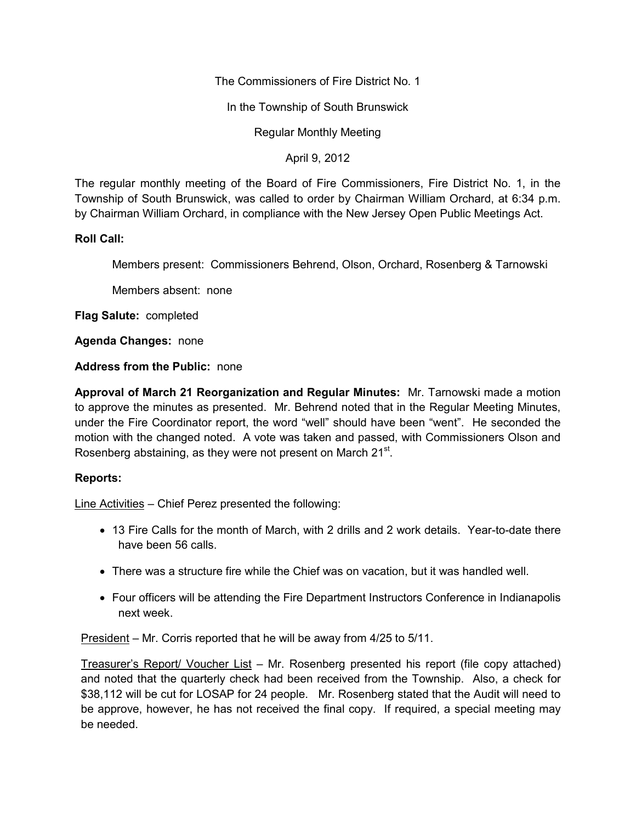The Commissioners of Fire District No. 1

In the Township of South Brunswick

Regular Monthly Meeting

April 9, 2012

The regular monthly meeting of the Board of Fire Commissioners, Fire District No. 1, in the Township of South Brunswick, was called to order by Chairman William Orchard, at 6:34 p.m. by Chairman William Orchard, in compliance with the New Jersey Open Public Meetings Act.

## **Roll Call:**

Members present: Commissioners Behrend, Olson, Orchard, Rosenberg & Tarnowski

Members absent: none

**Flag Salute:** completed

**Agenda Changes:** none

## **Address from the Public:** none

**Approval of March 21 Reorganization and Regular Minutes:** Mr. Tarnowski made a motion to approve the minutes as presented. Mr. Behrend noted that in the Regular Meeting Minutes, under the Fire Coordinator report, the word "well" should have been "went". He seconded the motion with the changed noted. A vote was taken and passed, with Commissioners Olson and Rosenberg abstaining, as they were not present on March 21<sup>st</sup>.

## **Reports:**

Line Activities – Chief Perez presented the following:

- 13 Fire Calls for the month of March, with 2 drills and 2 work details. Year-to-date there have been 56 calls.
- There was a structure fire while the Chief was on vacation, but it was handled well.
- Four officers will be attending the Fire Department Instructors Conference in Indianapolis next week.

President – Mr. Corris reported that he will be away from 4/25 to 5/11.

Treasurer's Report/ Voucher List – Mr. Rosenberg presented his report (file copy attached) and noted that the quarterly check had been received from the Township. Also, a check for \$38,112 will be cut for LOSAP for 24 people. Mr. Rosenberg stated that the Audit will need to be approve, however, he has not received the final copy. If required, a special meeting may be needed.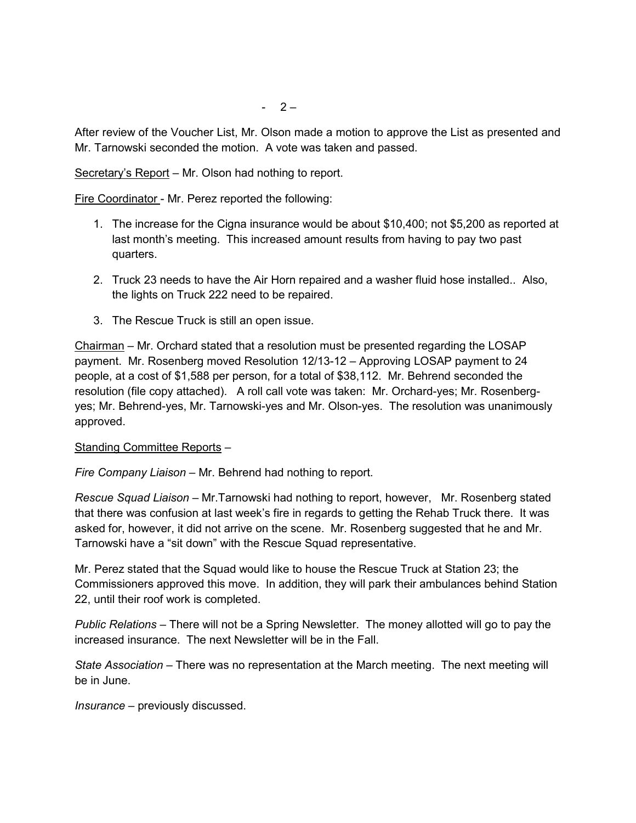After review of the Voucher List, Mr. Olson made a motion to approve the List as presented and Mr. Tarnowski seconded the motion. A vote was taken and passed.

Secretary's Report – Mr. Olson had nothing to report.

Fire Coordinator - Mr. Perez reported the following:

- 1. The increase for the Cigna insurance would be about \$10,400; not \$5,200 as reported at last month's meeting. This increased amount results from having to pay two past quarters.
- 2. Truck 23 needs to have the Air Horn repaired and a washer fluid hose installed.. Also, the lights on Truck 222 need to be repaired.
- 3. The Rescue Truck is still an open issue.

Chairman – Mr. Orchard stated that a resolution must be presented regarding the LOSAP payment. Mr. Rosenberg moved Resolution 12/13-12 – Approving LOSAP payment to 24 people, at a cost of \$1,588 per person, for a total of \$38,112. Mr. Behrend seconded the resolution (file copy attached). A roll call vote was taken: Mr. Orchard-yes; Mr. Rosenberg yes; Mr. Behrend-yes, Mr. Tarnowski-yes and Mr. Olson-yes. The resolution was unanimously approved.

## Standing Committee Reports –

*Fire Company Liaison –* Mr. Behrend had nothing to report.

*Rescue Squad Liaison –* Mr.Tarnowski had nothing to report, however, Mr. Rosenberg stated that there was confusion at last week's fire in regards to getting the Rehab Truck there. It was asked for, however, it did not arrive on the scene. Mr. Rosenberg suggested that he and Mr. Tarnowski have a "sit down" with the Rescue Squad representative.

Mr. Perez stated that the Squad would like to house the Rescue Truck at Station 23; the Commissioners approved this move. In addition, they will park their ambulances behind Station 22, until their roof work is completed.

*Public Relations* – There will not be a Spring Newsletter. The money allotted will go to pay the increased insurance. The next Newsletter will be in the Fall.

*State Association –* There was no representation at the March meeting. The next meeting will be in June.

*Insurance –* previously discussed.